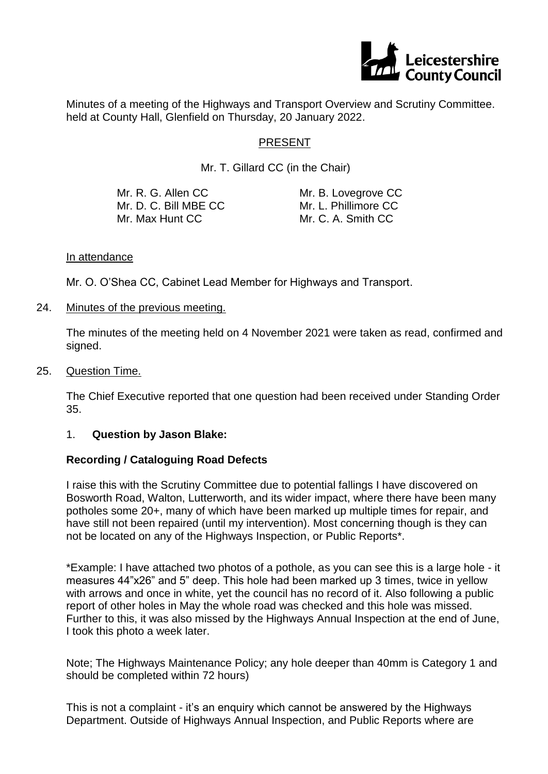

Minutes of a meeting of the Highways and Transport Overview and Scrutiny Committee. held at County Hall, Glenfield on Thursday, 20 January 2022.

### PRESENT

Mr. T. Gillard CC (in the Chair)

| Mr. R. G. Allen CC    | Mr. B. Lovegrove CC  |
|-----------------------|----------------------|
| Mr. D. C. Bill MBE CC | Mr. L. Phillimore CC |
| Mr. Max Hunt CC       | Mr. C. A. Smith CC   |

#### In attendance

Mr. O. O'Shea CC, Cabinet Lead Member for Highways and Transport.

24. Minutes of the previous meeting.

The minutes of the meeting held on 4 November 2021 were taken as read, confirmed and signed.

25. Question Time.

The Chief Executive reported that one question had been received under Standing Order 35.

### 1. **Question by Jason Blake:**

### **Recording / Cataloguing Road Defects**

I raise this with the Scrutiny Committee due to potential fallings I have discovered on Bosworth Road, Walton, Lutterworth, and its wider impact, where there have been many potholes some 20+, many of which have been marked up multiple times for repair, and have still not been repaired (until my intervention). Most concerning though is they can not be located on any of the Highways Inspection, or Public Reports\*.

\*Example: I have attached two photos of a pothole, as you can see this is a large hole - it measures 44"x26" and 5" deep. This hole had been marked up 3 times, twice in yellow with arrows and once in white, yet the council has no record of it. Also following a public report of other holes in May the whole road was checked and this hole was missed. Further to this, it was also missed by the Highways Annual Inspection at the end of June, I took this photo a week later.

Note; The Highways Maintenance Policy; any hole deeper than 40mm is Category 1 and should be completed within 72 hours)

This is not a complaint - it's an enquiry which cannot be answered by the Highways Department. Outside of Highways Annual Inspection, and Public Reports where are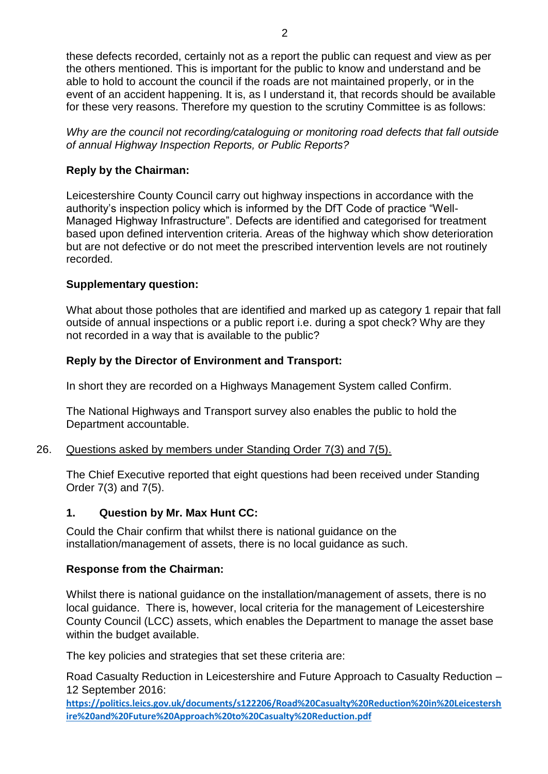these defects recorded, certainly not as a report the public can request and view as per the others mentioned. This is important for the public to know and understand and be able to hold to account the council if the roads are not maintained properly, or in the event of an accident happening. It is, as I understand it, that records should be available for these very reasons. Therefore my question to the scrutiny Committee is as follows:

*Why are the council not recording/cataloguing or monitoring road defects that fall outside of annual Highway Inspection Reports, or Public Reports?*

# **Reply by the Chairman:**

Leicestershire County Council carry out highway inspections in accordance with the authority's inspection policy which is informed by the DfT Code of practice "Well-Managed Highway Infrastructure". Defects are identified and categorised for treatment based upon defined intervention criteria. Areas of the highway which show deterioration but are not defective or do not meet the prescribed intervention levels are not routinely recorded.

# **Supplementary question:**

What about those potholes that are identified and marked up as category 1 repair that fall outside of annual inspections or a public report i.e. during a spot check? Why are they not recorded in a way that is available to the public?

# **Reply by the Director of Environment and Transport:**

In short they are recorded on a Highways Management System called Confirm.

The National Highways and Transport survey also enables the public to hold the Department accountable.

## 26. Questions asked by members under Standing Order 7(3) and 7(5).

The Chief Executive reported that eight questions had been received under Standing Order 7(3) and 7(5).

## **1. Question by Mr. Max Hunt CC:**

Could the Chair confirm that whilst there is national guidance on the installation/management of assets, there is no local guidance as such.

## **Response from the Chairman:**

Whilst there is national guidance on the installation/management of assets, there is no local guidance. There is, however, local criteria for the management of Leicestershire County Council (LCC) assets, which enables the Department to manage the asset base within the budget available.

The key policies and strategies that set these criteria are:

Road Casualty Reduction in Leicestershire and Future Approach to Casualty Reduction – 12 September 2016:

**https://politics.leics.gov.uk/documents/s122206/Road%20Casualty%20Reduction%20in%20Leicestersh ire%20and%20Future%20Approach%20to%20Casualty%20Reduction.pdf**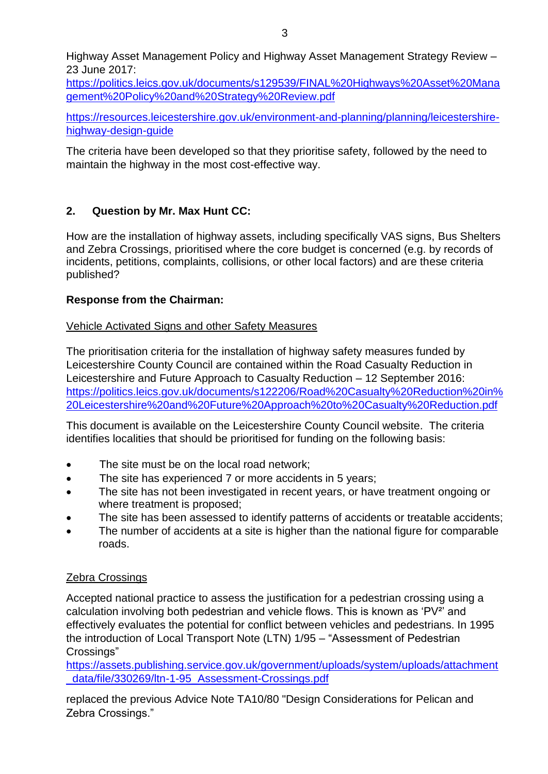[https://politics.leics.gov.uk/documents/s129539/FINAL%20Highways%20Asset%20Mana](https://politics.leics.gov.uk/documents/s129539/FINAL%20Highways%20Asset%20Management%20Policy%20and%20Strategy%20Review.pdf) [gement%20Policy%20and%20Strategy%20Review.pdf](https://politics.leics.gov.uk/documents/s129539/FINAL%20Highways%20Asset%20Management%20Policy%20and%20Strategy%20Review.pdf)

[https://resources.leicestershire.gov.uk/environment-and-planning/planning/leicestershire](https://resources.leicestershire.gov.uk/environment-and-planning/planning/leicestershire-highway-design-guide)[highway-design-guide](https://resources.leicestershire.gov.uk/environment-and-planning/planning/leicestershire-highway-design-guide)

The criteria have been developed so that they prioritise safety, followed by the need to maintain the highway in the most cost-effective way.

# **2. Question by Mr. Max Hunt CC:**

How are the installation of highway assets, including specifically VAS signs, Bus Shelters and Zebra Crossings, prioritised where the core budget is concerned (e.g. by records of incidents, petitions, complaints, collisions, or other local factors) and are these criteria published?

# **Response from the Chairman:**

# Vehicle Activated Signs and other Safety Measures

The prioritisation criteria for the installation of highway safety measures funded by Leicestershire County Council are contained within the Road Casualty Reduction in Leicestershire and Future Approach to Casualty Reduction – 12 September 2016: [https://politics.leics.gov.uk/documents/s122206/Road%20Casualty%20Reduction%20in%](https://politics.leics.gov.uk/documents/s122206/Road%20Casualty%20Reduction%20in%20Leicestershire%20and%20Future%20Approach%20to%20Casualty%20Reduction.pdf) [20Leicestershire%20and%20Future%20Approach%20to%20Casualty%20Reduction.pdf](https://politics.leics.gov.uk/documents/s122206/Road%20Casualty%20Reduction%20in%20Leicestershire%20and%20Future%20Approach%20to%20Casualty%20Reduction.pdf)

This document is available on the Leicestershire County Council website. The criteria identifies localities that should be prioritised for funding on the following basis:

- The site must be on the local road network;
- The site has experienced 7 or more accidents in 5 years;
- The site has not been investigated in recent years, or have treatment ongoing or where treatment is proposed;
- The site has been assessed to identify patterns of accidents or treatable accidents;
- The number of accidents at a site is higher than the national figure for comparable roads.

# Zebra Crossings

Accepted national practice to assess the justification for a pedestrian crossing using a calculation involving both pedestrian and vehicle flows. This is known as 'PV²' and effectively evaluates the potential for conflict between vehicles and pedestrians. In 1995 the introduction of Local Transport Note (LTN) 1/95 – "Assessment of Pedestrian Crossings"

[https://assets.publishing.service.gov.uk/government/uploads/system/uploads/attachment](https://assets.publishing.service.gov.uk/government/uploads/system/uploads/attachment_data/file/330269/ltn-1-95_Assessment-Crossings.pdf) [\\_data/file/330269/ltn-1-95\\_Assessment-Crossings.pdf](https://assets.publishing.service.gov.uk/government/uploads/system/uploads/attachment_data/file/330269/ltn-1-95_Assessment-Crossings.pdf)

replaced the previous Advice Note TA10/80 "Design Considerations for Pelican and Zebra Crossings."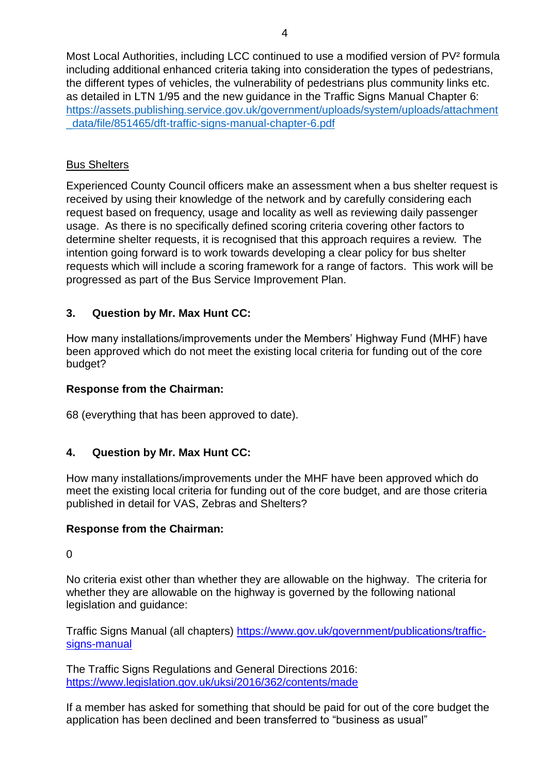Most Local Authorities, including LCC continued to use a modified version of PV<sup>2</sup> formula including additional enhanced criteria taking into consideration the types of pedestrians, the different types of vehicles, the vulnerability of pedestrians plus community links etc. as detailed in LTN 1/95 and the new guidance in the Traffic Signs Manual Chapter 6: https://assets.publishing.service.gov.uk/government/uploads/system/uploads/attachment \_data/file/851465/dft-traffic-signs-manual-chapter-6.pdf

# Bus Shelters

Experienced County Council officers make an assessment when a bus shelter request is received by using their knowledge of the network and by carefully considering each request based on frequency, usage and locality as well as reviewing daily passenger usage. As there is no specifically defined scoring criteria covering other factors to determine shelter requests, it is recognised that this approach requires a review. The intention going forward is to work towards developing a clear policy for bus shelter requests which will include a scoring framework for a range of factors. This work will be progressed as part of the Bus Service Improvement Plan.

# **3. Question by Mr. Max Hunt CC:**

How many installations/improvements under the Members' Highway Fund (MHF) have been approved which do not meet the existing local criteria for funding out of the core budget?

### **Response from the Chairman:**

68 (everything that has been approved to date).

## **4. Question by Mr. Max Hunt CC:**

How many installations/improvements under the MHF have been approved which do meet the existing local criteria for funding out of the core budget, and are those criteria published in detail for VAS, Zebras and Shelters?

## **Response from the Chairman:**

 $\Omega$ 

No criteria exist other than whether they are allowable on the highway. The criteria for whether they are allowable on the highway is governed by the following national legislation and guidance:

Traffic Signs Manual (all chapters) [https://www.gov.uk/government/publications/traffic](https://www.gov.uk/government/publications/traffic-signs-manual)[signs-manual](https://www.gov.uk/government/publications/traffic-signs-manual)

The Traffic Signs Regulations and General Directions 2016: <https://www.legislation.gov.uk/uksi/2016/362/contents/made>

If a member has asked for something that should be paid for out of the core budget the application has been declined and been transferred to "business as usual"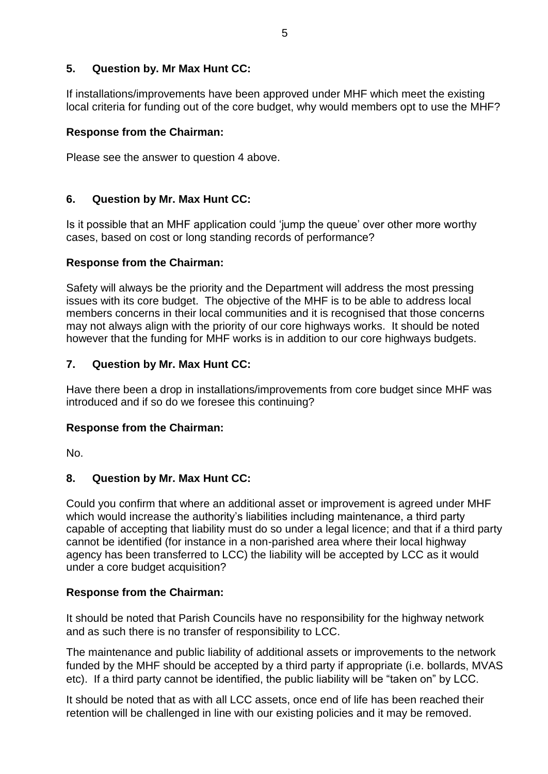## **5. Question by. Mr Max Hunt CC:**

If installations/improvements have been approved under MHF which meet the existing local criteria for funding out of the core budget, why would members opt to use the MHF?

## **Response from the Chairman:**

Please see the answer to question 4 above.

# **6. Question by Mr. Max Hunt CC:**

Is it possible that an MHF application could 'jump the queue' over other more worthy cases, based on cost or long standing records of performance?

## **Response from the Chairman:**

Safety will always be the priority and the Department will address the most pressing issues with its core budget. The objective of the MHF is to be able to address local members concerns in their local communities and it is recognised that those concerns may not always align with the priority of our core highways works. It should be noted however that the funding for MHF works is in addition to our core highways budgets.

# **7. Question by Mr. Max Hunt CC:**

Have there been a drop in installations/improvements from core budget since MHF was introduced and if so do we foresee this continuing?

## **Response from the Chairman:**

No.

# **8. Question by Mr. Max Hunt CC:**

Could you confirm that where an additional asset or improvement is agreed under MHF which would increase the authority's liabilities including maintenance, a third party capable of accepting that liability must do so under a legal licence; and that if a third party cannot be identified (for instance in a non-parished area where their local highway agency has been transferred to LCC) the liability will be accepted by LCC as it would under a core budget acquisition?

## **Response from the Chairman:**

It should be noted that Parish Councils have no responsibility for the highway network and as such there is no transfer of responsibility to LCC.

The maintenance and public liability of additional assets or improvements to the network funded by the MHF should be accepted by a third party if appropriate (i.e. bollards, MVAS etc). If a third party cannot be identified, the public liability will be "taken on" by LCC.

It should be noted that as with all LCC assets, once end of life has been reached their retention will be challenged in line with our existing policies and it may be removed.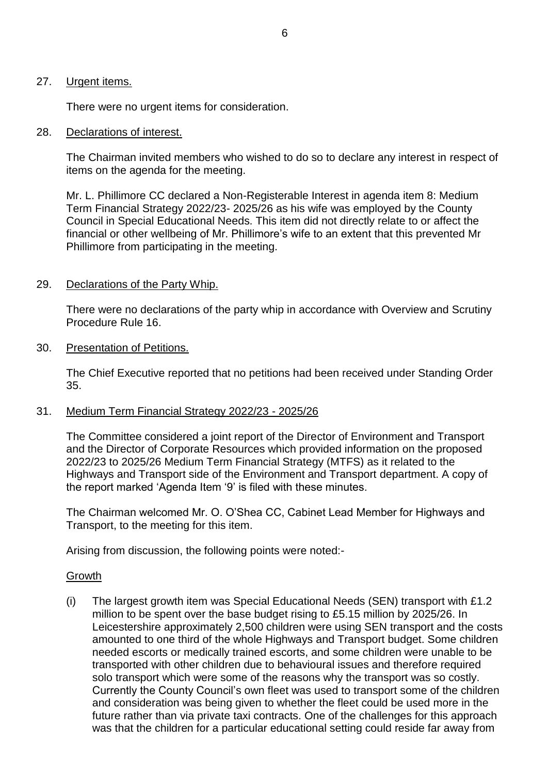#### 27. Urgent items.

There were no urgent items for consideration.

#### 28. Declarations of interest.

The Chairman invited members who wished to do so to declare any interest in respect of items on the agenda for the meeting.

Mr. L. Phillimore CC declared a Non-Registerable Interest in agenda item 8: Medium Term Financial Strategy 2022/23- 2025/26 as his wife was employed by the County Council in Special Educational Needs. This item did not directly relate to or affect the financial or other wellbeing of Mr. Phillimore's wife to an extent that this prevented Mr Phillimore from participating in the meeting.

#### 29. Declarations of the Party Whip.

There were no declarations of the party whip in accordance with Overview and Scrutiny Procedure Rule 16.

#### 30. Presentation of Petitions.

The Chief Executive reported that no petitions had been received under Standing Order 35.

### 31. Medium Term Financial Strategy 2022/23 - 2025/26

The Committee considered a joint report of the Director of Environment and Transport and the Director of Corporate Resources which provided information on the proposed 2022/23 to 2025/26 Medium Term Financial Strategy (MTFS) as it related to the Highways and Transport side of the Environment and Transport department. A copy of the report marked 'Agenda Item '9' is filed with these minutes.

The Chairman welcomed Mr. O. O'Shea CC, Cabinet Lead Member for Highways and Transport, to the meeting for this item.

Arising from discussion, the following points were noted:-

#### Growth

(i) The largest growth item was Special Educational Needs (SEN) transport with £1.2 million to be spent over the base budget rising to £5.15 million by 2025/26. In Leicestershire approximately 2,500 children were using SEN transport and the costs amounted to one third of the whole Highways and Transport budget. Some children needed escorts or medically trained escorts, and some children were unable to be transported with other children due to behavioural issues and therefore required solo transport which were some of the reasons why the transport was so costly. Currently the County Council's own fleet was used to transport some of the children and consideration was being given to whether the fleet could be used more in the future rather than via private taxi contracts. One of the challenges for this approach was that the children for a particular educational setting could reside far away from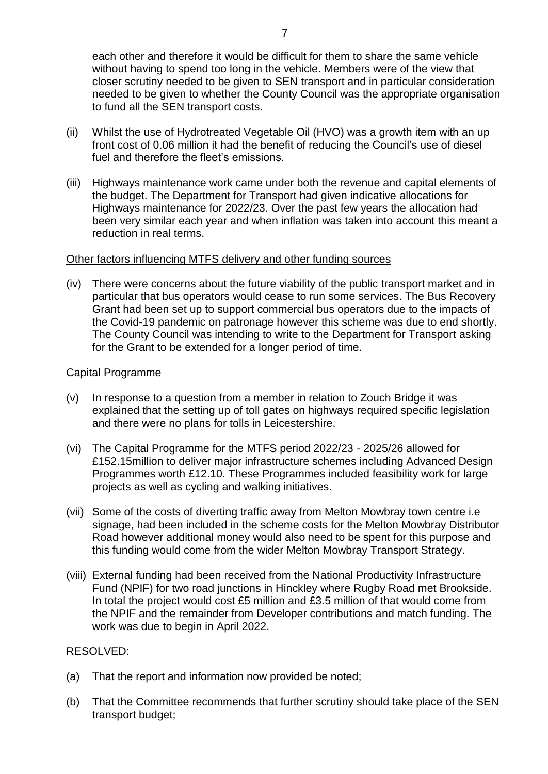each other and therefore it would be difficult for them to share the same vehicle without having to spend too long in the vehicle. Members were of the view that closer scrutiny needed to be given to SEN transport and in particular consideration needed to be given to whether the County Council was the appropriate organisation to fund all the SEN transport costs.

- (ii) Whilst the use of Hydrotreated Vegetable Oil (HVO) was a growth item with an up front cost of 0.06 million it had the benefit of reducing the Council's use of diesel fuel and therefore the fleet's emissions.
- (iii) Highways maintenance work came under both the revenue and capital elements of the budget. The Department for Transport had given indicative allocations for Highways maintenance for 2022/23. Over the past few years the allocation had been very similar each year and when inflation was taken into account this meant a reduction in real terms.

#### Other factors influencing MTFS delivery and other funding sources

(iv) There were concerns about the future viability of the public transport market and in particular that bus operators would cease to run some services. The Bus Recovery Grant had been set up to support commercial bus operators due to the impacts of the Covid-19 pandemic on patronage however this scheme was due to end shortly. The County Council was intending to write to the Department for Transport asking for the Grant to be extended for a longer period of time.

#### Capital Programme

- (v) In response to a question from a member in relation to Zouch Bridge it was explained that the setting up of toll gates on highways required specific legislation and there were no plans for tolls in Leicestershire.
- (vi) The Capital Programme for the MTFS period 2022/23 2025/26 allowed for £152.15million to deliver major infrastructure schemes including Advanced Design Programmes worth £12.10. These Programmes included feasibility work for large projects as well as cycling and walking initiatives.
- (vii) Some of the costs of diverting traffic away from Melton Mowbray town centre i.e signage, had been included in the scheme costs for the Melton Mowbray Distributor Road however additional money would also need to be spent for this purpose and this funding would come from the wider Melton Mowbray Transport Strategy.
- (viii) External funding had been received from the National Productivity Infrastructure Fund (NPIF) for two road junctions in Hinckley where Rugby Road met Brookside. In total the project would cost £5 million and £3.5 million of that would come from the NPIF and the remainder from Developer contributions and match funding. The work was due to begin in April 2022.

### RESOLVED:

- (a) That the report and information now provided be noted;
- (b) That the Committee recommends that further scrutiny should take place of the SEN transport budget;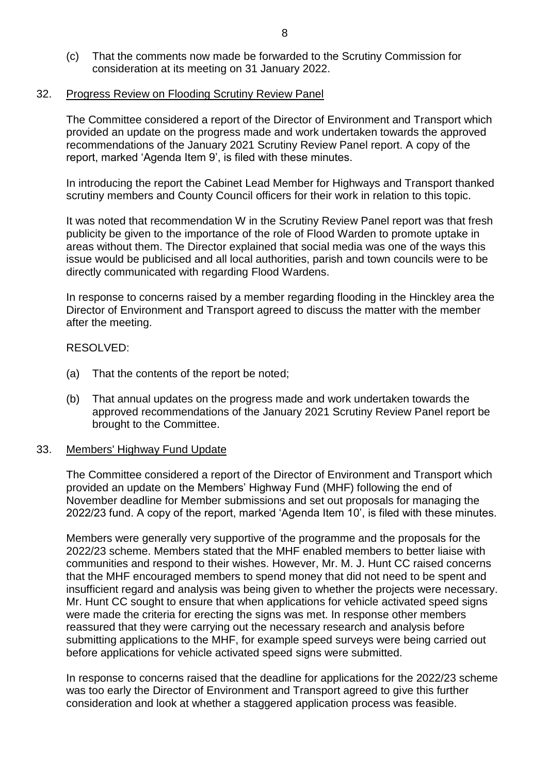(c) That the comments now made be forwarded to the Scrutiny Commission for consideration at its meeting on 31 January 2022.

#### 32. Progress Review on Flooding Scrutiny Review Panel

The Committee considered a report of the Director of Environment and Transport which provided an update on the progress made and work undertaken towards the approved recommendations of the January 2021 Scrutiny Review Panel report. A copy of the report, marked 'Agenda Item 9', is filed with these minutes.

In introducing the report the Cabinet Lead Member for Highways and Transport thanked scrutiny members and County Council officers for their work in relation to this topic.

It was noted that recommendation W in the Scrutiny Review Panel report was that fresh publicity be given to the importance of the role of Flood Warden to promote uptake in areas without them. The Director explained that social media was one of the ways this issue would be publicised and all local authorities, parish and town councils were to be directly communicated with regarding Flood Wardens.

In response to concerns raised by a member regarding flooding in the Hinckley area the Director of Environment and Transport agreed to discuss the matter with the member after the meeting.

### RESOLVED:

- (a) That the contents of the report be noted;
- (b) That annual updates on the progress made and work undertaken towards the approved recommendations of the January 2021 Scrutiny Review Panel report be brought to the Committee.

#### 33. Members' Highway Fund Update

The Committee considered a report of the Director of Environment and Transport which provided an update on the Members' Highway Fund (MHF) following the end of November deadline for Member submissions and set out proposals for managing the 2022/23 fund. A copy of the report, marked 'Agenda Item 10', is filed with these minutes.

Members were generally very supportive of the programme and the proposals for the 2022/23 scheme. Members stated that the MHF enabled members to better liaise with communities and respond to their wishes. However, Mr. M. J. Hunt CC raised concerns that the MHF encouraged members to spend money that did not need to be spent and insufficient regard and analysis was being given to whether the projects were necessary. Mr. Hunt CC sought to ensure that when applications for vehicle activated speed signs were made the criteria for erecting the signs was met. In response other members reassured that they were carrying out the necessary research and analysis before submitting applications to the MHF, for example speed surveys were being carried out before applications for vehicle activated speed signs were submitted.

In response to concerns raised that the deadline for applications for the 2022/23 scheme was too early the Director of Environment and Transport agreed to give this further consideration and look at whether a staggered application process was feasible.